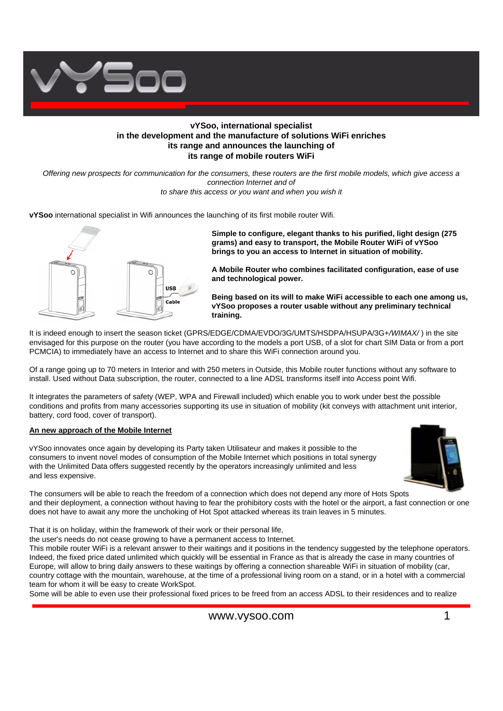

## **vYSoo, international specialist in the development and the manufacture of solutions WiFi enriches its range and announces the launching of its range of mobile routers WiFi**

*Offering new prospects for communication for the consumers, these routers are the first mobile models, which give access a connection Internet and of to share this access or you want and when you wish it*

**vYSoo** international specialist in Wifi announces the launching of its first mobile router Wifi.



**Simple to configure, elegant thanks to his purified, light design (275 grams) and easy to transport, the Mobile Router WiFi of vYSoo brings to you an access to Internet in situation of mobility.**

**A Mobile Router who combines facilitated configuration, ease of use and technological power.**

**Being based on its will to make WiFi accessible to each one among us, vYSoo proposes a router usable without any preliminary technical training.**

It is indeed enough to insert the season ticket (GPRS/EDGE/CDMA/EVDO/3G/UMTS/HSDPA/HSUPA/3G+*/WIMAX/* ) in the site envisaged for this purpose on the router (you have according to the models a port USB, of a slot for chart SIM Data or from a port PCMCIA) to immediately have an access to Internet and to share this WiFi connection around you.

Of a range going up to 70 meters in Interior and with 250 meters in Outside, this Mobile router functions without any software to install. Used without Data subscription, the router, connected to a line ADSL transforms itself into Access point Wifi.

It integrates the parameters of safety (WEP, WPA and Firewall included) which enable you to work under best the possible conditions and profits from many accessories supporting its use in situation of mobility (kit conveys with attachment unit interior, battery, cord food, cover of transport).

### **An new approach of the Mobile Internet**

vYSoo innovates once again by developing its Party taken Utilisateur and makes it possible to the consumers to invent novel modes of consumption of the Mobile Internet which positions in total synergy with the Unlimited Data offers suggested recently by the operators increasingly unlimited and less and less expensive.



The consumers will be able to reach the freedom of a connection which does not depend any more of Hots Spots and their deployment, a connection without having to fear the prohibitory costs with the hotel or the airport, a fast connection or one does not have to await any more the unchoking of Hot Spot attacked whereas its train leaves in 5 minutes.

That it is on holiday, within the framework of their work or their personal life,

the user's needs do not cease growing to have a permanent access to Internet.

This mobile router WiFi is a relevant answer to their waitings and it positions in the tendency suggested by the telephone operators. Indeed, the fixed price dated unlimited which quickly will be essential in France as that is already the case in many countries of Europe, will allow to bring daily answers to these waitings by offering a connection shareable WiFi in situation of mobility (car, country cottage with the mountain, warehouse, at the time of a professional living room on a stand, or in a hotel with a commercial team for whom it will be easy to create WorkSpot.

Some will be able to even use their professional fixed prices to be freed from an access ADSL to their residences and to realize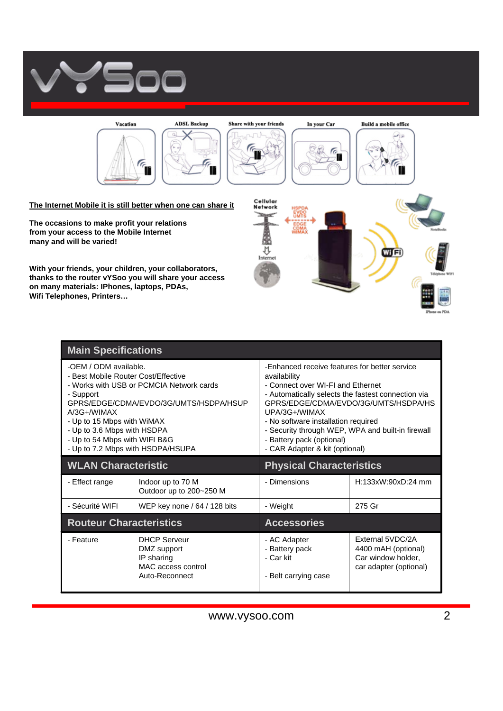



**The occasions to make profit your relations from your access to the Mobile Internet many and will be varied!**

**With your friends, your children, your collaborators, thanks to the router vYSoo you will share your access on many materials: IPhones, laptops, PDAs, Wifi Telephones, Printers…**



| <b>Main Specifications</b>                                                                                                                                                                                                                                                                                           |                                                                                          |                                                                                                                                                                                                                                                                                                                                                                              |                                                                                         |
|----------------------------------------------------------------------------------------------------------------------------------------------------------------------------------------------------------------------------------------------------------------------------------------------------------------------|------------------------------------------------------------------------------------------|------------------------------------------------------------------------------------------------------------------------------------------------------------------------------------------------------------------------------------------------------------------------------------------------------------------------------------------------------------------------------|-----------------------------------------------------------------------------------------|
| -OEM / ODM available.<br>- Best Mobile Router Cost/Effective<br>- Works with USB or PCMCIA Network cards<br>- Support<br>GPRS/EDGE/CDMA/EVDO/3G/UMTS/HSDPA/HSUP<br>$A/3G+$ /WIMAX<br>- Up to 15 Mbps with WiMAX<br>- Up to 3.6 Mbps with HSDPA<br>- Up to 54 Mbps with WIFI B&G<br>- Up to 7.2 Mbps with HSDPA/HSUPA |                                                                                          | -Enhanced receive features for better service<br>availability<br>- Connect over WI-FI and Ethernet<br>- Automatically selects the fastest connection via<br>GPRS/EDGE/CDMA/EVDO/3G/UMTS/HSDPA/HS<br>UPA/3G+/WIMAX<br>- No software installation required<br>- Security through WEP, WPA and built-in firewall<br>- Battery pack (optional)<br>- CAR Adapter & kit (optional) |                                                                                         |
| <b>WLAN Characteristic</b>                                                                                                                                                                                                                                                                                           |                                                                                          | <b>Physical Characteristics</b>                                                                                                                                                                                                                                                                                                                                              |                                                                                         |
| - Effect range                                                                                                                                                                                                                                                                                                       | Indoor up to 70 M<br>Outdoor up to 200~250 M                                             | - Dimensions                                                                                                                                                                                                                                                                                                                                                                 | $H:133xW:90xD:24$ mm                                                                    |
| - Sécurité WIFI                                                                                                                                                                                                                                                                                                      | WEP key none / 64 / 128 bits                                                             | - Weight                                                                                                                                                                                                                                                                                                                                                                     | 275 Gr                                                                                  |
| <b>Routeur Characteristics</b>                                                                                                                                                                                                                                                                                       |                                                                                          | <b>Accessories</b>                                                                                                                                                                                                                                                                                                                                                           |                                                                                         |
| - Feature                                                                                                                                                                                                                                                                                                            | <b>DHCP Serveur</b><br>DMZ support<br>IP sharing<br>MAC access control<br>Auto-Reconnect | - AC Adapter<br>- Battery pack<br>- Car kit<br>- Belt carrying case                                                                                                                                                                                                                                                                                                          | External 5VDC/2A<br>4400 mAH (optional)<br>Car window holder,<br>car adapter (optional) |